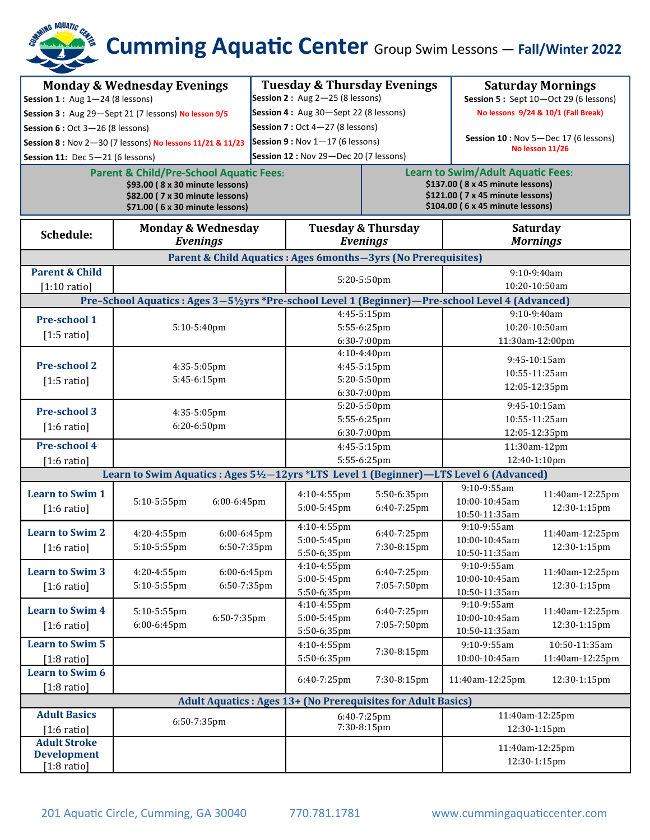# **Cumming Aquatic Center** Group Swim Lessons — **Fall/Winter 2022**

| <b>Monday &amp; Wednesday Evenings</b><br>Session 1: Aug $1-24$ (8 lessons)<br>Session 3: Aug 29-Sept 21 (7 lessons) No lesson 9/5<br>Session 6 : Oct 3-26 (8 lessons)<br>Session 8 : Nov 2-30 (7 lessons) No lessons 11/21 & 11/23<br>Session 11: Dec $5-21$ (6 lessons)<br><b>Parent &amp; Child/Pre-School Aquatic Fees:</b><br>\$93.00 (8 x 30 minute lessons)<br>\$82.00 ( 7 x 30 minute lessons)<br>\$71.00 (6 x 30 minute lessons) |                                                  |                            | <b>Tuesday &amp; Thursday Evenings</b><br>Session 2 : Aug $2-25$ (8 lessons)<br>Session 4: Aug 30-Sept 22 (8 lessons)<br>Session 7 : Oct $4-27$ (8 lessons)<br>Session 9 : Nov $1-17$ (6 lessons)<br>Session 12 : Nov 29-Dec 20 (7 lessons) |                            | <b>Saturday Mornings</b><br>Session 5: Sept 10-Oct 29 (6 lessons)<br>No lessons 9/24 & 10/1 (Fall Break)<br>Session 10 : Nov 5-Dec 17 (6 lessons)<br>No lesson 11/26<br><b>Learn to Swim/Adult Aquatic Fees:</b><br>\$137.00 (8 x 45 minute lessons)<br>\$121.00 ( 7 x 45 minute lessons)<br>\$104.00 (6 x 45 minute lessons) |                                  |
|-------------------------------------------------------------------------------------------------------------------------------------------------------------------------------------------------------------------------------------------------------------------------------------------------------------------------------------------------------------------------------------------------------------------------------------------|--------------------------------------------------|----------------------------|---------------------------------------------------------------------------------------------------------------------------------------------------------------------------------------------------------------------------------------------|----------------------------|-------------------------------------------------------------------------------------------------------------------------------------------------------------------------------------------------------------------------------------------------------------------------------------------------------------------------------|----------------------------------|
| Schedule:                                                                                                                                                                                                                                                                                                                                                                                                                                 | <b>Monday &amp; Wednesday</b><br><b>Evenings</b> |                            | <b>Tuesday &amp; Thursday</b><br><b>Evenings</b>                                                                                                                                                                                            |                            | <b>Saturday</b><br><b>Mornings</b>                                                                                                                                                                                                                                                                                            |                                  |
| Parent & Child Aquatics : Ages 6months-3yrs (No Prerequisites)                                                                                                                                                                                                                                                                                                                                                                            |                                                  |                            |                                                                                                                                                                                                                                             |                            |                                                                                                                                                                                                                                                                                                                               |                                  |
| <b>Parent &amp; Child</b><br>$[1:10 \text{ ratio}]$                                                                                                                                                                                                                                                                                                                                                                                       |                                                  |                            | 5:20-5:50pm                                                                                                                                                                                                                                 |                            | 9:10-9:40am<br>10:20-10:50am                                                                                                                                                                                                                                                                                                  |                                  |
| Pre-School Aquatics: Ages 3-5½ yrs *Pre-school Level 1 (Beginner)<br>-Pre-school Level 4 (Advanced)                                                                                                                                                                                                                                                                                                                                       |                                                  |                            |                                                                                                                                                                                                                                             |                            |                                                                                                                                                                                                                                                                                                                               |                                  |
| <b>Pre-school 1</b><br>$[1:5 \text{ ratio}]$                                                                                                                                                                                                                                                                                                                                                                                              | 5:10-5:40pm                                      |                            | 4:45-5:15pm<br>5:55-6:25pm<br>6:30-7:00pm                                                                                                                                                                                                   |                            | $9:10-9:40am$<br>10:20-10:50am<br>11:30am-12:00pm                                                                                                                                                                                                                                                                             |                                  |
| <b>Pre-school 2</b><br>$[1:5 \text{ ratio}]$                                                                                                                                                                                                                                                                                                                                                                                              | 4:35-5:05pm<br>5:45-6:15pm                       |                            | 4:10-4:40pm<br>4:45-5:15pm<br>5:20-5:50pm<br>6:30-7:00pm                                                                                                                                                                                    |                            | 9:45-10:15am<br>10:55-11:25am<br>12:05-12:35pm                                                                                                                                                                                                                                                                                |                                  |
| <b>Pre-school 3</b><br>$[1:6 \text{ ratio}]$                                                                                                                                                                                                                                                                                                                                                                                              | 4:35-5:05pm<br>6:20-6:50pm                       |                            | 5:20-5:50pm<br>5:55-6:25pm<br>6:30-7:00pm                                                                                                                                                                                                   |                            | 9:45-10:15am<br>10:55-11:25am<br>12:05-12:35pm                                                                                                                                                                                                                                                                                |                                  |
| <b>Pre-school 4</b><br>$[1:6 \text{ ratio}]$                                                                                                                                                                                                                                                                                                                                                                                              |                                                  |                            | 4:45-5:15pm<br>5:55-6:25pm                                                                                                                                                                                                                  |                            | 11:30am-12pm<br>12:40-1:10pm                                                                                                                                                                                                                                                                                                  |                                  |
| Learn to Swim Aquatics : Ages 5½–12yrs *LTS Level 1 (Beginner)–LTS Level 6 (Advanced)                                                                                                                                                                                                                                                                                                                                                     |                                                  |                            |                                                                                                                                                                                                                                             |                            |                                                                                                                                                                                                                                                                                                                               |                                  |
| <b>Learn to Swim 1</b><br>$[1:6 \text{ ratio}]$                                                                                                                                                                                                                                                                                                                                                                                           | 5:10-5:55pm                                      | 6:00-6:45pm                | $4:10 - 4:55$ pm<br>5:00-5:45pm                                                                                                                                                                                                             | 5:50-6:35pm<br>6:40-7:25pm | 9:10-9:55am<br>10:00-10:45am<br>10:50-11:35am                                                                                                                                                                                                                                                                                 | 11:40am-12:25pm<br>12:30-1:15pm  |
| <b>Learn to Swim 2</b><br>$[1:6 \text{ ratio}]$                                                                                                                                                                                                                                                                                                                                                                                           | 4:20-4:55pm<br>5:10-5:55pm                       | 6:00-6:45pm<br>6:50-7:35pm | 4:10-4:55pm<br>5:00-5:45pm<br>5:50-6;35pm                                                                                                                                                                                                   | 6:40-7:25pm<br>7:30-8:15pm | 9:10-9:55am<br>10:00-10:45am<br>10:50-11:35am                                                                                                                                                                                                                                                                                 | 11:40am-12:25pm<br>12:30-1:15pm  |
| <b>Learn to Swim 3</b><br>$[1:6 \text{ ratio}]$                                                                                                                                                                                                                                                                                                                                                                                           | 4:20-4:55pm<br>5:10-5:55pm                       | 6:00-6:45pm<br>6:50-7:35pm | 4:10-4:55pm<br>5:00-5:45pm<br>5:50-6;35pm                                                                                                                                                                                                   | 6:40-7:25pm<br>7:05-7:50pm | 9:10-9:55am<br>10:00-10:45am<br>10:50-11:35am                                                                                                                                                                                                                                                                                 | 11:40am-12:25pm<br>12:30-1:15pm  |
| <b>Learn to Swim 4</b><br>$[1:6 \text{ ratio}]$                                                                                                                                                                                                                                                                                                                                                                                           | 5:10-5:55pm<br>6:00-6:45pm                       | 6:50-7:35pm                | 4:10-4:55pm<br>5:00-5:45pm<br>5:50-6;35pm                                                                                                                                                                                                   | 6:40-7:25pm<br>7:05-7:50pm | 9:10-9:55am<br>10:00-10:45am<br>10:50-11:35am                                                                                                                                                                                                                                                                                 | 11:40am-12:25pm<br>12:30-1:15pm  |
| <b>Learn to Swim 5</b><br>$[1:8 \text{ ratio}]$                                                                                                                                                                                                                                                                                                                                                                                           |                                                  |                            | 4:10-4:55pm<br>5:50-6:35pm                                                                                                                                                                                                                  | 7:30-8:15pm                | 9:10-9:55am<br>10:00-10:45am                                                                                                                                                                                                                                                                                                  | 10:50-11:35am<br>11:40am-12:25pm |
| <b>Learn to Swim 6</b><br>$[1:8 \text{ ratio}]$                                                                                                                                                                                                                                                                                                                                                                                           |                                                  |                            | 6:40-7:25pm                                                                                                                                                                                                                                 | 7:30-8:15pm                | 11:40am-12:25pm                                                                                                                                                                                                                                                                                                               | 12:30-1:15pm                     |
| <b>Adult Aquatics: Ages 13+ (No Prerequisites for Adult Basics)</b>                                                                                                                                                                                                                                                                                                                                                                       |                                                  |                            |                                                                                                                                                                                                                                             |                            |                                                                                                                                                                                                                                                                                                                               |                                  |
| <b>Adult Basics</b><br>$[1:6 \text{ ratio}]$                                                                                                                                                                                                                                                                                                                                                                                              | 6:50-7:35pm                                      |                            | 6:40-7:25pm<br>7:30-8:15pm                                                                                                                                                                                                                  |                            | 11:40am-12:25pm<br>12:30-1:15pm                                                                                                                                                                                                                                                                                               |                                  |
| <b>Adult Stroke</b><br><b>Development</b><br>$[1:8 \text{ ratio}]$                                                                                                                                                                                                                                                                                                                                                                        |                                                  |                            |                                                                                                                                                                                                                                             |                            |                                                                                                                                                                                                                                                                                                                               | 11:40am-12:25pm<br>12:30-1:15pm  |